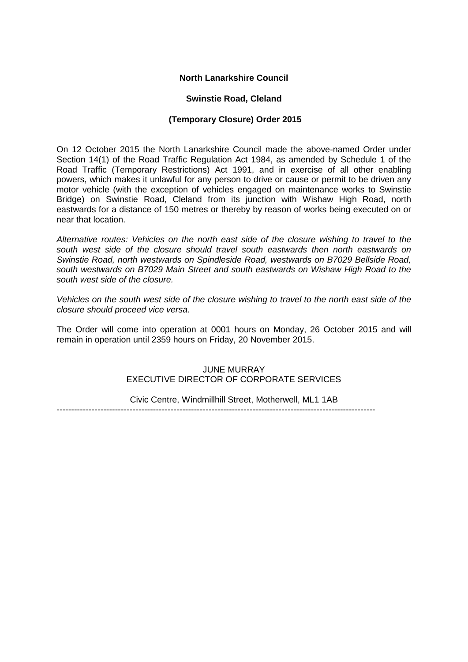# **North Lanarkshire Council**

# **Swinstie Road, Cleland**

# **(Temporary Closure) Order 2015**

On 12 October 2015 the North Lanarkshire Council made the above-named Order under Section 14(1) of the Road Traffic Regulation Act 1984, as amended by Schedule 1 of the Road Traffic (Temporary Restrictions) Act 1991, and in exercise of all other enabling powers, which makes it unlawful for any person to drive or cause or permit to be driven any motor vehicle (with the exception of vehicles engaged on maintenance works to Swinstie Bridge) on Swinstie Road, Cleland from its junction with Wishaw High Road, north eastwards for a distance of 150 metres or thereby by reason of works being executed on or near that location.

*Alternative routes: Vehicles on the north east side of the closure wishing to travel to the south west side of the closure should travel south eastwards then north eastwards on Swinstie Road, north westwards on Spindleside Road, westwards on B7029 Bellside Road, south westwards on B7029 Main Street and south eastwards on Wishaw High Road to the south west side of the closure.*

*Vehicles on the south west side of the closure wishing to travel to the north east side of the closure should proceed vice versa.*

The Order will come into operation at 0001 hours on Monday, 26 October 2015 and will remain in operation until 2359 hours on Friday, 20 November 2015.

#### JUNE MURRAY EXECUTIVE DIRECTOR OF CORPORATE SERVICES

Civic Centre, Windmillhill Street, Motherwell, ML1 1AB

-------------------------------------------------------------------------------------------------------------